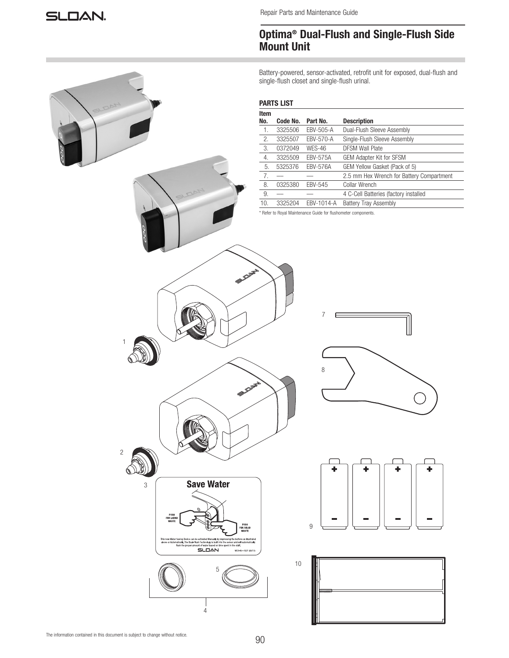Repair Parts and Maintenance Guide

# Optima® Dual-Flush and Single-Flush Side Mount Unit

Battery-powered, sensor-activated, retrofit unit for exposed, dual-flush and single-flush closet and single-flush urinal.

## PARTS LIST

| Item |          |                 |                                           |
|------|----------|-----------------|-------------------------------------------|
| No.  | Code No. | Part No.        | <b>Description</b>                        |
| -1.  | 3325506  | EBV-505-A       | Dual-Flush Sleeve Assembly                |
| 2.   | 3325507  | EBV-570-A       | Single-Flush Sleeve Assembly              |
| 3.   | 0372049  | <b>WES-46</b>   | <b>DFSM Wall Plate</b>                    |
| 4.   | 3325509  | <b>EBV-575A</b> | <b>GEM Adapter Kit for SFSM</b>           |
| 5.   | 5325376  | <b>EBV-576A</b> | GEM Yellow Gasket (Pack of 5)             |
| 7.   |          |                 | 2.5 mm Hex Wrench for Battery Compartment |
| 8.   | 0325380  | <b>EBV-545</b>  | Collar Wrench                             |
| 9.   |          |                 | 4 C-Cell Batteries (factory installed     |
| 10.  | 3325204  | EBV-1014-A      | <b>Battery Tray Assembly</b>              |

\* Refer to Royal Maintenance Guide for flushometer components.



4







The information contained in this document is subject to change without notice.